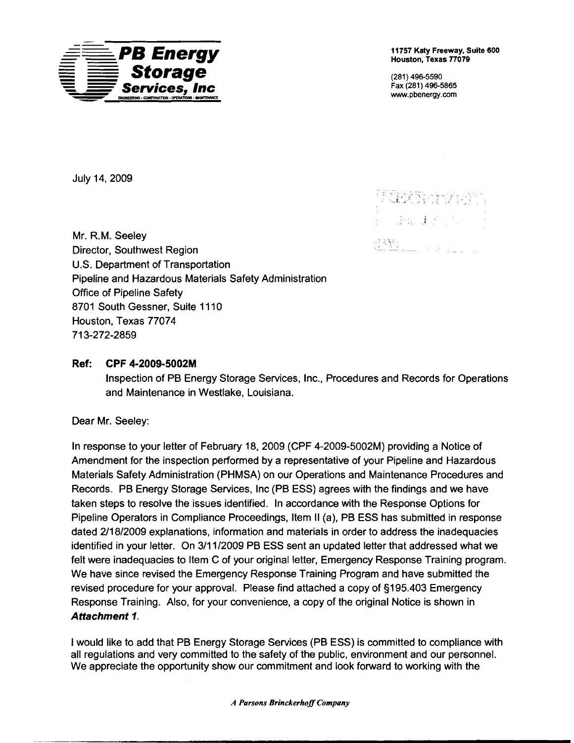

Houston, Texas 77079

**Services,** Fax (281) 496-5865 **Inc** www.pbenergy.com

 $\mathbb{N}$  . The  $\mathbb{N}$ 

 $\frac{1}{2} \left( \frac{1}{2} \left( \frac{1}{2} \frac{1}{2} \frac{1}{4} \right) \right) \left( \frac{1}{2} \left( \frac{1}{2} \right) \right) \left( \frac{1}{2} \right)$ 

my ka

JUly 14,2009

Mr. R.M. Seeley Director, Southwest Region U.S. Department of Transportation Pipeline and Hazardous Materials Safety Administration Office of Pipeline Safety 8701 South Gessner, Suite 1110 Houston, Texas 77074 713-272-2859

## Ref: CPF 4·2009·5002M

Inspection of PB Energy Storage Services, Inc., Procedures and Records for Operations and Maintenance in Westlake, Louisiana.

Dear Mr. Seeley:

In response to your letter of February 18, 2009 (CPF 4-2009-5002M) providing a Notice of Amendment for the inspection performed by a representative of your Pipeline and Hazardous Materials Safety Administration (PHMSA) on our Operations and Maintenance Procedures and Records. PB Energy Storage Services, Inc (PB ESS) agrees with the findings and we have taken steps to resolve the issues identified. In accordance with the Response Options for Pipeline Operators in Compliance Proceedings, Item II (a), PB ESS has submitted in response dated 2/18/2009 explanations, information and materials in order to address the inadequacies identified in your letter. On 3/11/2009 PB ESS sent an updated letter that addressed what we felt were inadequacies to Item C of your original letter, Emergency Response Training program. We have since revised the Emergency Response Training Program and have submitted the revised procedure for your approval. Please find attached a copy of §195.403 Emergency Response Training. Also, for your convenience, a copy of the original Notice is shown in Attachment 1.

I would like to add that PB Energy Storage Services (PB ESS) is committed to compliance with all regulations and very committed to the safety of the public, environment and our personnel. We appreciate the opportunity show our commitment and look forward to working with the

*A Parsons BrinckerhoffCompany*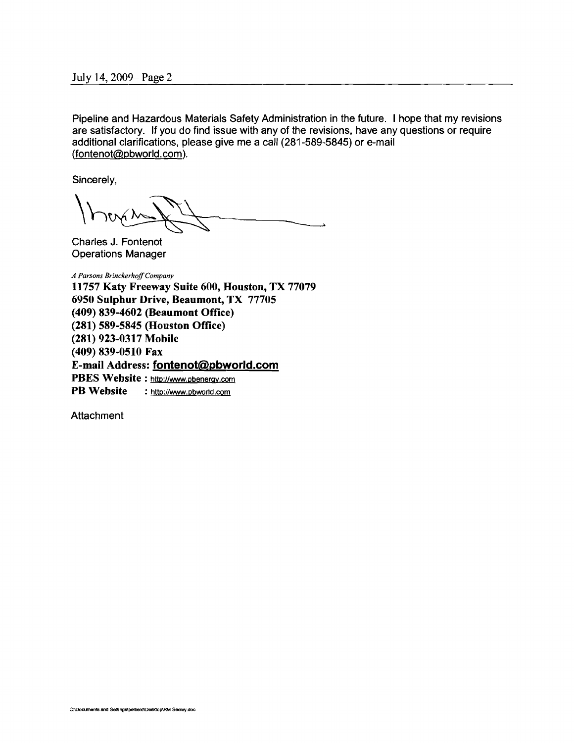Pipeline and Hazardous Materials Safety Administration in the future. I hope that my revisions are satisfactory. If you do find issue with any of the revisions, have any questions or require additional clarifications, please give me a call (281-589-5845) or e-mail (fontenot@pbworld.com).

Sincerely,

Charles J. Fontenot Operations Manager

*A Parsons BrinckerhoffCompany*  11757 Katy Freeway Suite 600, Houston, TX 77079 6950 Sulphur Drive, Beaumont, TX 77705 (409) 839-4602 (Beaumont Office) (281) 589-5845 (Houston Office) (281) 923-0317 Mobile (409) 839-0510 Fax E-mail Address: fontenot@pbworld.com PBES Website: http://www.pbenergy.com PB Website : http://www.pbworld.com

**Attachment**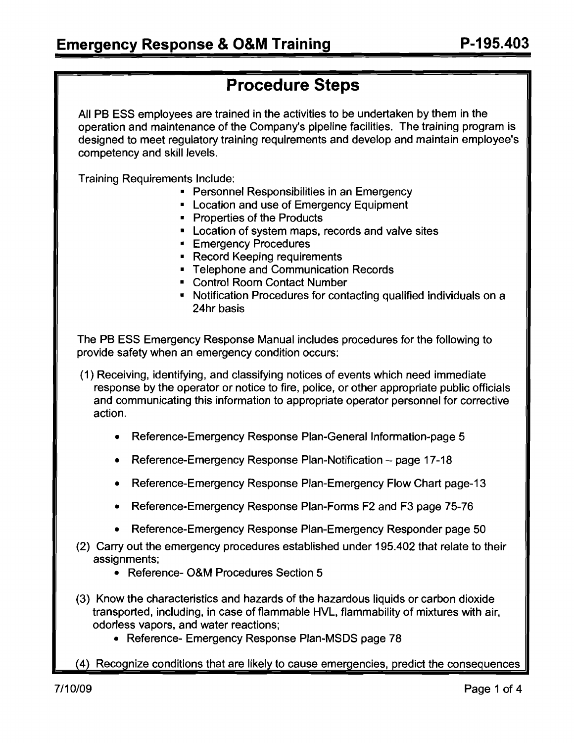# **Procedure Steps**

**All PB** ESS employees are trained in the activities to be undertaken by them in the operation and maintenance of the Company's pipeline facilities. The training program is designed to meet regulatory training requirements and develop and maintain employee's competency and skill levels.

Training Requirements Include:

- Personnel Responsibilities in an Emergency
- Location and use of Emergency Equipment
- • Properties of the Products
- Location of system maps, records and valve sites
- **Emergency Procedures**
- Record Keeping requirements
- • Telephone and Communication Records
- • Control Room Contact Number
- Notification Procedures for contacting qualified individuals on a 24hr basis

The **PB** ESS Emergency Response Manual includes procedures for the following to provide safety when an emergency condition occurs:

- (1) Receiving, identifying, and classifying notices of events which need immediate response by the operator or notice to fire, police, or other appropriate public officials and communicating this information to appropriate operator personnel for corrective action.
	- Reference-Emergency Response Plan-General Information-page 5
	- Reference-Emergency Response Plan-Notification page 17-18
	- Reference-Emergency Response Plan-Emergency Flow Chart page-13
	- Reference-Emergency Response Plan-Forms F2 and F3 page 75-76
	- Reference-Emergency Response Plan-Emergency Responder page 50
- (2) Carry out the emergency procedures established under 195.402 that relate to their assignments;
	- Reference- O&M Procedures Section 5
- (3) Know the characteristics and hazards of the hazardous liquids or carbon dioxide transported, including, in case of flammable HVL, flammability of mixtures with air, odorless vapors, and water reactions;
	- Reference- Emergency Response Plan-MSDS page 78
- (4) Recognize conditions that are likely to cause emergencies, predict the consequences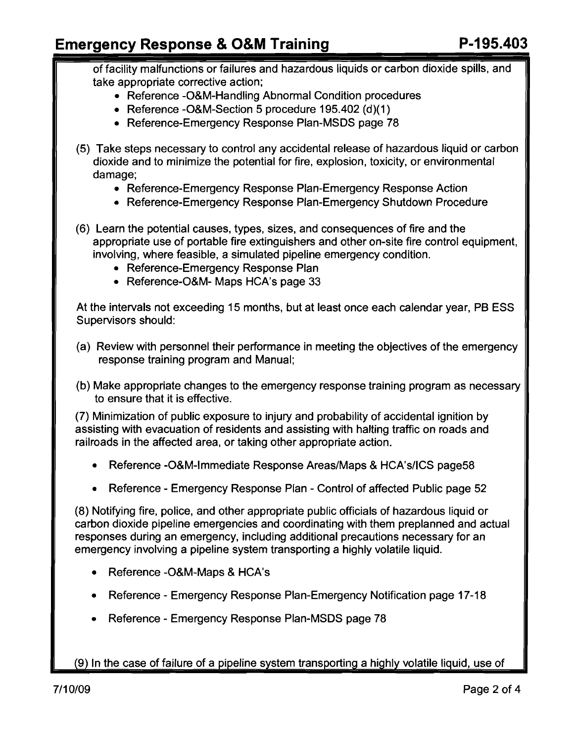## **Emergency Response & O&M Training The Response & O&M Training Response ADS**

of facility malfunctions or failures and hazardous liquids or carbon dioxide spills, and take appropriate corrective action;

- Reference -O&M-Handling Abnormal Condition procedures
- Reference -O&M-Section 5 procedure 195.402 (d)(1)
- Reference-Emergency Response Plan-MSDS page 78
- (5) Take steps necessary to control any accidental release of hazardous liquid or carbon dioxide and to minimize the potential for fire, explosion, toxicity, or environmental damage;
	- Reference-Emergency Response Plan-Emergency Response Action
	- Reference-Emergency Response Plan-Emergency Shutdown Procedure

(6) Learn the potential causes, types, sizes, and consequences of fire and the appropriate use of portable fire extinguishers and other on-site fire control equipment, involving, where feasible, a simulated pipeline emergency condition.

- Reference-Emergency Response Plan
- Reference-O&M- Maps HCA's page 33

At the intervals not exceeding 15 months, but at least once each calendar year, PB ESS Supervisors should:

- (a) Review with personnel their performance in meeting the objectives of the emergency response training program and Manual;
- (b) Make appropriate changes to the emergency response training program as necessary to ensure that it is effective.

(7) Minimization of public exposure to injury and probability of accidental ignition by assisting with evacuation of residents and assisting with halting traffic on roads and railroads in the affected area, or taking other appropriate action.

- Reference -O&M-Immediate Response Areas/Maps & HCA's/ICS page58
- Reference Emergency Response Plan Control of affected Public page 52

(8) Notifying fire, police, and other appropriate public officials of hazardous liquid or carbon dioxide pipeline emergencies and coordinating with them preplanned and actual responses during an emergency, including additional precautions necessary for an emergency involving a pipeline system transporting a highly volatile liquid.

- Reference -O&M-Maps & HCA's
- Reference Emergency Response Plan-Emergency Notification page 17-18
- Reference Emergency Response Plan-MSDS page 78

(9) In the case of failure of a pipeline system transporting a highly volatile liquid, use of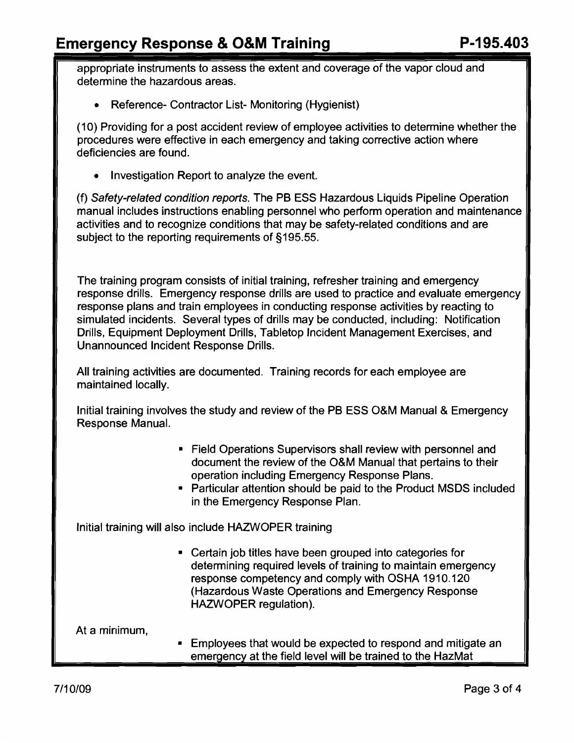# Emergency Response & O&M Training P-195.403

appropriate instruments to assess the extent and coverage of the vapor cloud and determine the hazardous areas.

• Reference- Contractor List- Monitoring (Hygienist)

(10) Providing for a post accident review of employee activities to determine whether the procedures were effective in each emergency and taking corrective action where deficiencies are found.

• Investigation Report to analyze the event.

(f) Safety-related condition reports. The PB ESS Hazardous Liquids Pipeline Operation manual includes instructions enabling personnel who perform operation and maintenance activities and to recognize conditions that may be safety-related conditions and are subject to the reporting requirements of §195.55.

The training program consists of initial training, refresher training and emergency response drills. Emergency response drills are used to practice and evaluate emergency response plans and train employees in conducting response activities by reacting to simulated incidents. Several types of drills may be conducted, including: Notification Drills, Equipment Deployment Drills, Tabletop Incident Management Exercises, and Unannounced Incident Response Drills.

All training activities are documented. Training records for each employee are maintained locally.

Initial training involves the study and review of the PB ESS O&M Manual & Emergency Response Manual.

- Field Operations Supervisors shall review with personnel and document the review of the O&M Manual that pertains to their operation including Emergency Response Plans.
- • Particular attention should be paid to the Product MSDS included in the Emergency Response Plan.

Initial training will also include HAZWOPER training

• Certain job titles have been grouped into categories for determining required levels of training to maintain emergency response competency and comply with OSHA 1910.120 (Hazardous Waste Operations and Emergency Response HAZWOPER regulation).

At a minimum,

**Employees that would be expected to respond and mitigate an** emergency at the field level will be trained to the HazMat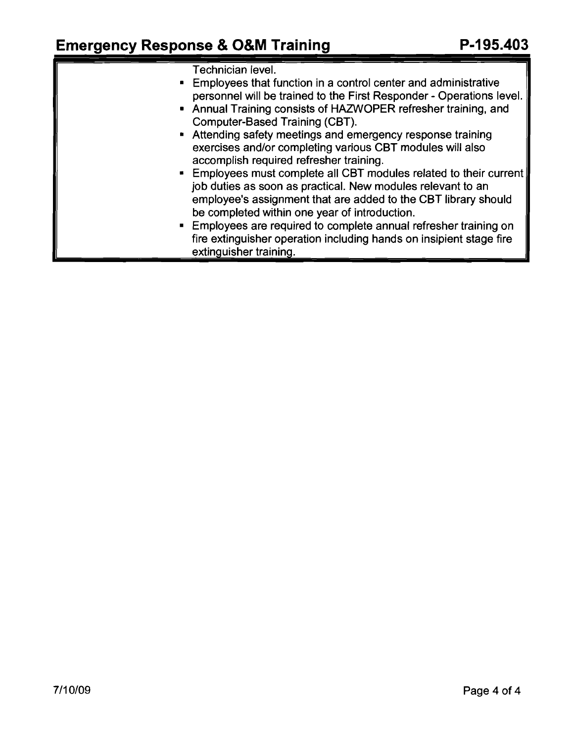| <b>Emergency Response &amp; O&amp;M Training</b>                                                                                                                                                                                                                                                                                                                                                                                                                                                                                                                                                                                                                                                                                                                                                                                                                            | P-195.403 |
|-----------------------------------------------------------------------------------------------------------------------------------------------------------------------------------------------------------------------------------------------------------------------------------------------------------------------------------------------------------------------------------------------------------------------------------------------------------------------------------------------------------------------------------------------------------------------------------------------------------------------------------------------------------------------------------------------------------------------------------------------------------------------------------------------------------------------------------------------------------------------------|-----------|
| Technician level.<br>• Employees that function in a control center and administrative<br>personnel will be trained to the First Responder - Operations level.<br>• Annual Training consists of HAZWOPER refresher training, and<br>Computer-Based Training (CBT).<br>• Attending safety meetings and emergency response training<br>exercises and/or completing various CBT modules will also<br>accomplish required refresher training.<br>• Employees must complete all CBT modules related to their current<br>job duties as soon as practical. New modules relevant to an<br>employee's assignment that are added to the CBT library should<br>be completed within one year of introduction.<br><b>Employees are required to complete annual refresher training on</b><br>fire extinguisher operation including hands on insipient stage fire<br>extinguisher training. |           |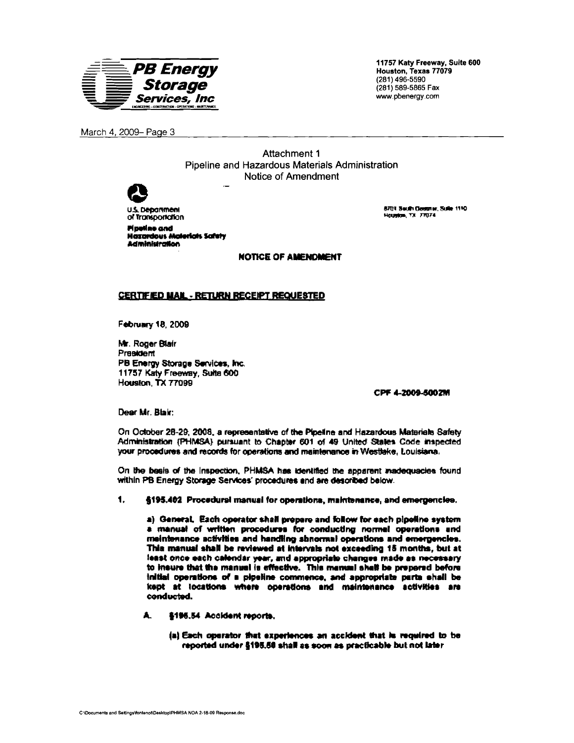

March 4, 2009- Page 3

Attachment 1 Pipeline and Hazardous Materials Administration Notice of Amendment



**U.S. Department** of Transportation **Pipeline and Hazardous Moterials Safety** Administration

**ETIT SHIP GOSTN. SUN 1110** Houston, TX 7TU74

**NOTICE OF AMENDMENT** 

## **CERTIFIED MAIL - RETURN RECEIPT REQUESTED**

**February 18, 2009** 

Mr. Roger Blair President PB Energy Storage Services, Inc. 11757 Katy Freeway, Suite 600 Housena TX 77099

CPF 4-2009-5002M

Dear Mr. Blair:

On October 28-29, 2008, a representative of the Ploeline and Hazardous Materials Safety Administration (PHMSA) pursuant to Chapter 601 of 49 United States Code inspected your procedures and records for operations and maintenance in Westlake. Louisiana.

On the basis of the Inspection, PHMSA has identified the apparent inadequacies found within PB Energy Storage Services' procedures and are described below.

 $\blacksquare$ §195.402 Procedural manual for operations, maintenance, and emergencies.

a) General, Each operator shall prepare and follow for each pipeline system a manual of written procedures for conducting normal operations and meintenance activities and handling shnormal operations and emergencies. This manual shall be reviewed at intervals not exceeding 15 months, but at least once each calendar year, and appropriate changes made as necessary to insure that the manual is effective. This manual shall be prepared before initial operations of a pipeline commence, and appropriate parts shall be kept at locations where operations and maintenance activities are conducted.

- $\blacksquare$ §195.54 Accident reports.
	- (a) Each operator that experiences an accident that is required to be reported under §195.50 shall as soon as practicable but not later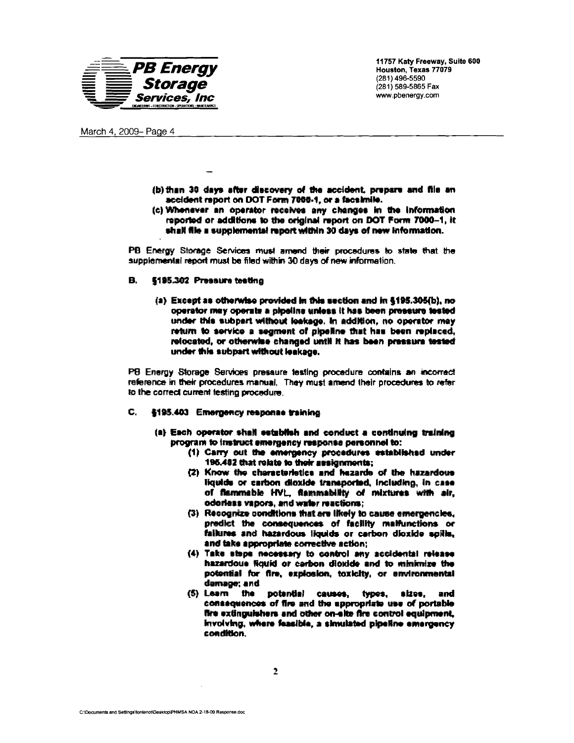

March 4, 2009- Page 4

- (b) than 30 days after discovery of the accident, prepare and file an accident report on DOT Form 7000-1, or a facelmile.
- (c) Whenever an operator receives any changes in the information reported or additions to the original report on DOT Form 7000-1, it shall file a supplemental report within 30 days of new information.

PB Energy Storage Services must arrend their procedures to state that the supplemental report must be filed within 30 days of new information.

#### В. 6195.302 Pressure testing

(a) Except as otherwise provided in this section and in §195.305(b), no operator may operate a pipeline unless it has been pressure tested under this subpart without leakage. In addition, no operator may return to service a segment of pipeline that has been replaced, relocated, or otherwise changed until it has been pressure tested under this subpart without leakage.

PB Energy Storage Services pressure testing procedure contains an incorrect reference in their procedures manual. They must amend their procedures to refer to the correct current testing procedure

#### C. §195.403 Emergency response training

- (a) Each operator shall establish and conduct a continuing training program to instruct emergency response personnel to:
	- (1) Carry out the emergency procedures established under 195,482 that rolate to their assignments;
	- (2) Know the characteristics and hazards of the hazardous liquids or carbon dioxide transported, including, in case of flammable HVL, flammability of mixtures with air, odorless vapors, and water reactions;
	- (3) Recognize conditions that are likely to cause emergencies. predict the consequences of facility malfunctions or failures and hazardous liquids or carbon dioxide spills. and take appropriate corrective action:
	- (4) Take steps necessary to control any accidental release hazardoue figuid or carbon dioxide and to minimize the potential for fire, explosion, toxicity, or environmental damage; and
	- (5) Learn the potential causes, types, sizes, and consequences of fire and the appropriate use of portable fire extinguishers and other on-site fire control equipment, Involving, where feasible, a simulated pipeline emergency coadition.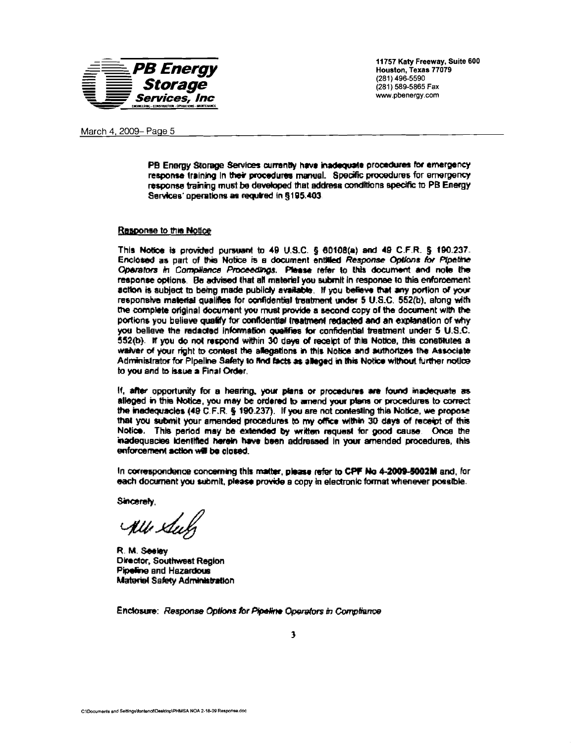

March 4, 2009- Page 5

PB Energy Storage Services currently have inadequate procedures for emergency response training in their procedures manual. Specific procedures for emergency response training must be developed that address conditions specific to PB Energy Services' operations as required in \$195.403.

### Response to this Notice

This Notice is provided pursuant to 49 U.S.C. § 60108(a) and 49 C.F.R. § 190.237. Enclosed as part of this Notice is a document entitled Response Options for Pipeline Operators in Compliance Proceedings. Please refer to this document and note the response options. Be advised that all material you submit in response to this enforcement action is subject to being made publicly available. If you believe that any portion of your responsive material qualifies for confidential treatment under 5 U.S.C. 552(b), along with the complete original document you must provide a second copy of the document with the portions you believe qualify for confidential treatment redacted and an explanation of why you believe the redacted information qualifies for confidential treatment under 5 U.S.C. 552(b). If you do not respond within 30 days of receipt of this Notice, this constitutes a waiver of your right to contest the allegations in this Notice and authorizes the Associate Administrator for Pipeline Safety to find facts as alleged in this Notice without further notice to you and to issue a Final Order.

If, after opportunity for a hearing, your plans or procedures are found inadequate as alleged in this Notice, you may be ordered to amend your plans or procedures to correct the inadequacies (49 C.F.R. § 190.237). If you are not contesting this Notice, we propose that you submit your amended procedures to my office within 30 days of receipt of this Notice. This period may be extended by written request for good cause. Once the inadequacies identified herein have been addressed in your amended procedures, this enforcement action will be closed.

In correspondence concerning this matter, please refer to CPF No 4-2009-5002M and, for each document you submit, please provide a copy in electronic format whenever possible.

Sincerely.

Alle Sul

R. M. Seelev Director, Southwest Region Pipeline and Hazardous Materiel Safety Administration

Enclosure: Response Options for Pipeline Operators in Compliance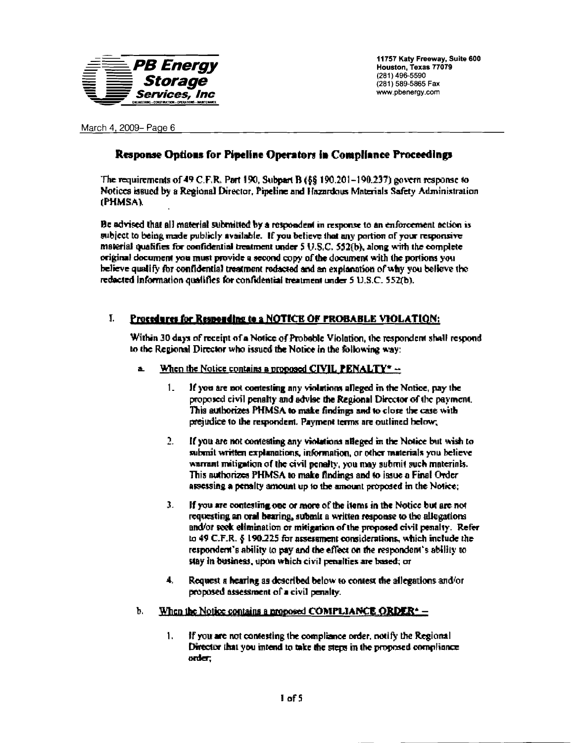

March 4, 2009- Page 6

## Response Options for Pipeline Operators in Compliance Proceedings

The requirements of 49 C.F.R. Port 190, Subpart B  $(68\ 190.201 - 190.237)$  govern response to Notices issued by a Regional Director. Pipeline and Hazardous Materials Safety Administration (PHMSA).

Be advised that all material submitted by a respondent in response to an enforcement action is subject to being made publicly available. If you believe that any portion of your responsive material qualifies for confidential treatment under  $5$  U.S.C.  $52(b)$ , along with the complete original document was must provide a second copy of the document with the portions you believe qualify for confidential treatment reducted and an explanation of why you believe the reducted information qualifies for confidential treatment under 5 U.S.C. 552(b).

#### $\mathbf{I}$ Procedures for Responding to a NOTICE OF PROBABLE VIOLATION:

Within 30 days of receipt of a Notice of Probable Violation, the respondent shall respond to the Regional Director who issued the Notice in the following way:

- When the Notice contains a proposed CIVIL PENALTY\*  $$ ä.
	- $1_{-}$ If you are not contesting any violations alleged in the Notice, pay the proposed civil penalty and advise the Regional Director of the payment. This authorizes PHMSA to make findings and to close the case with prejudice to the respondent. Payment terms are outlined below;
	- $\overline{2}$ . If you are not contesting any violations alleged in the Notice but wish to submit written explanations, information, or other materials you believe warrant mitigation of the civil penalty, you may submit such materials. This authorizes PHMSA to make findings and to issue a Final Order assessing a penalty amount up to the amount proposed in the Notice;
	- $\overline{\mathbf{3}}$ . If you are contesting one or more of the items in the Notice but are not requesting an oral bearing, submit a written response to the allogations and/or seek elimination or mitigation of the proposed civil penalty. Refer to 49 C.F.R.  $\zeta$  190.225 for assessment considerations, which include the respondent's ability to pay and the effect on the respondent's ability to stay in business, upon which civil penalties are based; or
	- $\blacktriangle$ . Request a bearing as described below to contest the allegations and/or proposed assessment of a civil penalty.
- Ъ. When the Notice contains a proposed COMPLIANCE ORDER<sup> $\star$ </sup> =
	- 1. If you are not contesting the compliance order, notify the Regional Director that you intend to take the steps in the proposed compliance.  $order,$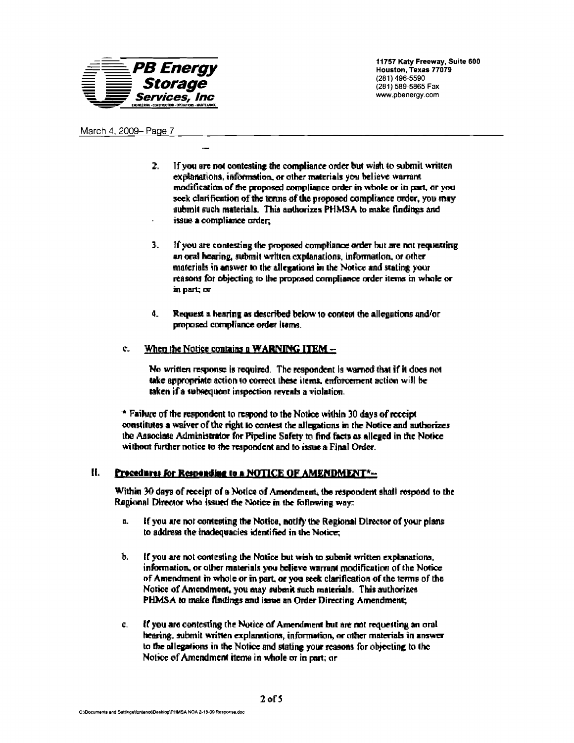

## March 4, 2009- Page 7

- If you are not contesting the compliance order but wish to submit written  $\mathbf{2}$ . explanations, information, or other materials you believe warrant modification of the proposed compliance order in whole or in part, or was seek clarification of the terms of the proposed compliance order, you may submit such materials. This authorizes PHMSA to make findings and issue a compliance order.
- $\mathbf{L}$ If you are contesting the proposed compliance order but me not requesting an oral hearing, submit written explanations, information, or other materials in answer to the allegations in the Notice and stating your reasons for objecting to the proposed compliance order items in whole or in part; or
- $\mathbf{d}$ Request a hearing as described below to contest the allegations and/or proposed compliance order items.

#### When the Notice contains a WARNING ITEM - $\mathbf{c}$

No written response is required. The respondent is warned that if it does not take appropriate action to correct these items, enforcement action will be taken if a subsequent inspection reveals a violation.

\* Failure of the respondent to respond to the Notice within 30 days of receipt constitutes a waiver of the right to contest the allegations in the Notice and authorizes the Associate Administrator for Pipeline Safety to find facts as alleged in the Notice without further notice to the respondent and to issue a Final Order.

#### П. Procedures for Responding to a NOTICE OF AMENDMENT\*-

Within 30 days of receipt of a Notice of Amendment, the respondent shall respond to the Regional Director who issued the Notice in the following way:

- $\mathbf{a}$ . If you are not contesting the Notice, notify the Regional Director of your plans to address the inadequacies identified in the Notice;
- ħ. If you are not contesting the Notice but wish to submit written explanations, information, or other materials you believe warrant modification of the Notice of Amendment in whole or in part, or you seek clarification of the terms of the Notice of Amendment, you may submit such materials. This authorizes PHMSA to make findings and issue an Order Directing Amendment;
- If you are contesting the Notice of Amendment but are not requesting an oral c. bearing, submit written explanations, information, or other materials in answer to the allegations in the Notice and stating your reasons for objecting to the Notice of Amendment items in whole or in part; or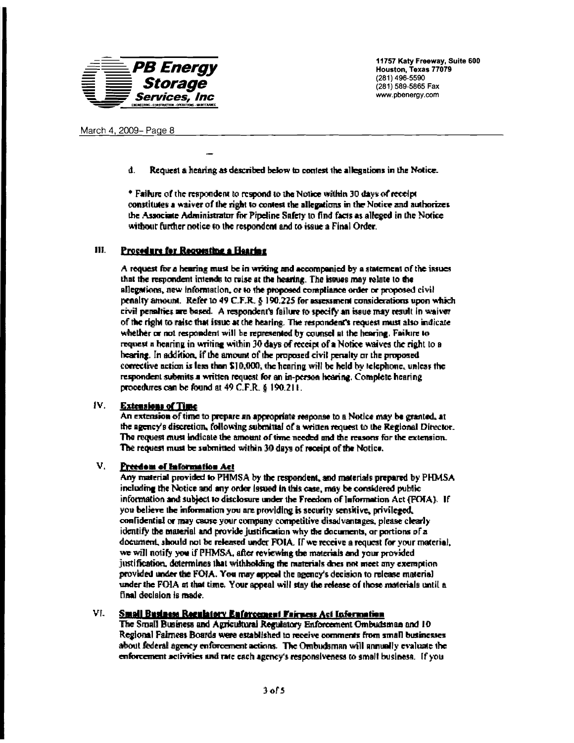

đ. Request a hearing as described below to contest the allegations in the Notice.

\* Failure of the respondent to respond to the Notice within 30 days of receipt constitutes a waiver of the right to contest the allegations in the Notice and authorizes the Associate Administrator for Pipeline Safety to find facts as alleged in the Notice without further notice to the respondent and to issue a Final Order.

#### Ш. Procedure for Requesting a Hearing

A request for a hearing must be in writing and accompanied by a statement of the issues that the respondent intends to raise at the hearing. The issues may relate to the allegations, new information, or to the proposed compliance order or proposed civil penalty amount. Refer to 49 C.F.R. § 190.225 for assessment considerations upon which civil penalties are based. A respondent's failure to specify an issue may result in waiver of the right to raise that issue at the hearing. The respondent's request must also indicate whether or not respondent will be represented by counsel at the hearing. Faikire to request a hearing in writing within 30 days of receipt of a Notice waives the right to a bearing. In addition, if the amount of the proposed civil penalty or the proposed corrective action is less than \$10,000, the hearing will be held by telephone, unless the respondent submits a written request for an in-person hearing. Complete hearing procedures can be found at 49 C.F.R. § 190.211.

#### $IV.$ **Extensions of Time**

An extension of time to prepare an appropriate response to a Notice may be granted, at the agency's discretion, following submittal of a written request to the Regional Director. The request must indicate the amount of time needed and the reasons for the extension. The request must be submitted within 30 days of receipt of the Notice.

#### V. Preedom of Information Act

Any material provided to PHMSA by the respondent, and materials prepared by PHMSA including the Notice and any order (ssued in this case, may be considered public information and subject to disclosure under the Freedom of Information Act (FOIA). If you believe the information you are providing is security sensitive, privileged, confidential or may cause your company competitive disadvantages, please clearly identify the material and provide justification why the documents, or portions of a document, should not be released under FOIA. If we receive a request for your material, we will notify you if PHMSA, after reviewing the materials and your provided justification, determines that withholding the ranterials does not meet any exemption provided under the FOJA. You may appeal the agency's decision to release material under the FOIA at that time. Your appeal will stay the release of those materials until a final decision is made.

#### VL. Small Business Regulatory Enforcement Fairness Act Information

The Small Business and Agricultural Regulatory Enforcement Ombudsman and 10 Regional Fairness Boards were established to receive comments from small businesses about federal agency enforcement actions. The Ombudsman will annually evaluate the enforcement activities and rate each agency's responsiveness to small business. If you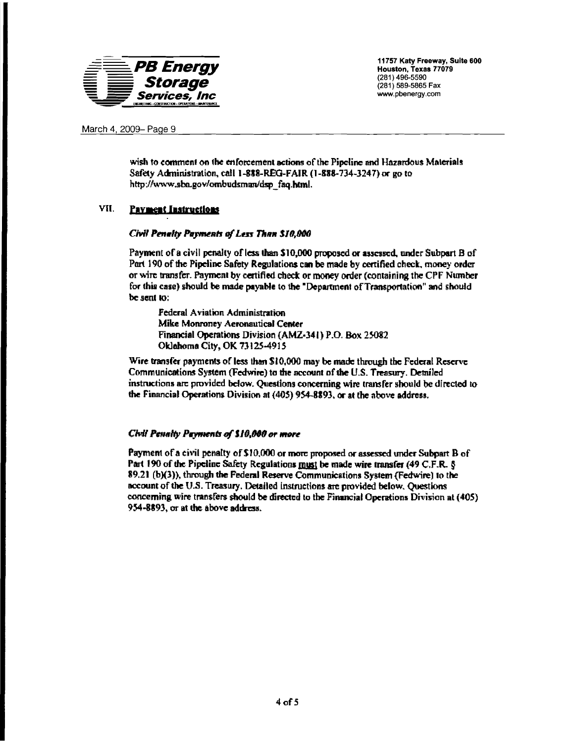

March 4, 2009- Page 9

wish to comment on the enforcement actions of the Pipeline and Hazardous Materials Safety Administration, call 1-888-REG-FAIR (1-888-734-3247) or go to http://www.sba.gov/ombudsman/dsp faq.html.

#### VII. **Payment Instructions**

## Civil Penalty Payments of Less Than \$10,000

Payment of a civil penalty of less than \$10,000 proposed or assessed, under Subpart B of Part 190 of the Pipeline Safety Regulations can be made by certified check, money order or wire transfer. Payment by certified check or money order (containing the CPF Number for this case) should be made payable to the "Department of Transportation" and should be sent to:

Federal Aviation Administration Mike Monroney Aeronautical Center Financial Operations Division (AMZ-341) P.O. Box 25082 Oklahoma City, OK 73125-4915

Wire transfer payments of less than \$10,000 may be made through the Federal Reserve Communications System (Fedwire) to the account of the U.S. Treasury. Detailed instructions are provided below. Questions concerning wire transfer should be directed to the Financial Operations Division at (405) 954-8893, or at the above address.

## Civil Penalty Payments of \$10,000 or more

Payment of a civil penalty of \$10,000 or more proposed or assessed under Subpart B of Part 190 of the Pipeline Safety Regulations must be made wire transfer (49 C.F.R. § 89.21 (b)(3)), through the Federal Reserve Communications System (Fedwire) to the account of the U.S. Treasury. Detailed instructions are provided below. Questions concerning wire transfers should be directed to the Financial Operations Division at (405) 954-8893, or at the above address.